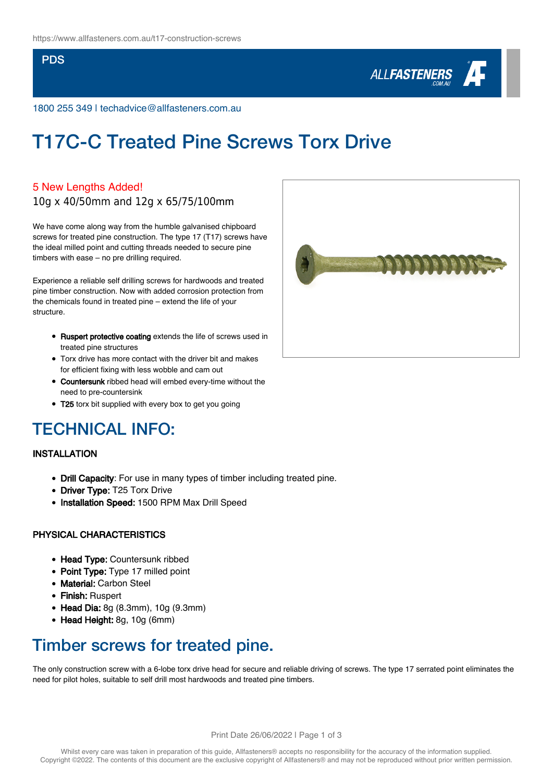### PDS



1800 255 349 | techadvice@allfasteners.com.au

# T17C-C Treated Pine Screws Torx Drive

### 5 New Lengths Added!

10g x 40/50mm and 12g x 65/75/100mm

We have come along way from the humble galvanised chipboard screws for treated pine construction. The type 17 (T17) screws have the ideal milled point and cutting threads needed to secure pine timbers with ease – no pre drilling required.

Experience a reliable self drilling screws for hardwoods and treated pine timber construction. Now with added corrosion protection from the chemicals found in treated pine – extend the life of your structure.

- **Ruspert protective coating** extends the life of screws used in treated pine structures
- Torx drive has more contact with the driver bit and makes for efficient fixing with less wobble and cam out
- Countersunk ribbed head will embed every-time without the need to pre-countersink
- T25 torx bit supplied with every box to get you going

## TECHNICAL INFO:

### INSTALLATION

- Drill Capacity: For use in many types of timber including treated pine.
- Driver Type: T25 Torx Drive
- Installation Speed: 1500 RPM Max Drill Speed

### PHYSICAL CHARACTERISTICS

- Head Type: Countersunk ribbed
- Point Type: Type 17 milled point
- Material: Carbon Steel
- Finish: Ruspert
- Head Dia: 8g (8.3mm), 10g (9.3mm)
- Head Height: 8g, 10g (6mm)

### Timber screws for treated pine.

The only construction screw with a 6-lobe torx drive head for secure and reliable driving of screws. The type 17 serrated point eliminates the need for pilot holes, suitable to self drill most hardwoods and treated pine timbers.

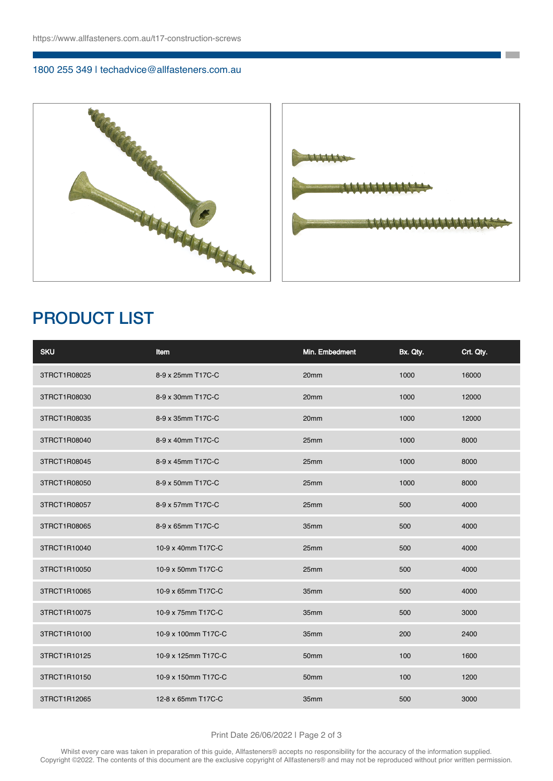### 1800 255 349 | techadvice@allfasteners.com.au



**The Co** 

# PRODUCT LIST

| <b>SKU</b>   | Item                | Min. Embedment   | Bx. Qty. | Crt. Oty. |
|--------------|---------------------|------------------|----------|-----------|
| 3TRCT1R08025 | 8-9 x 25mm T17C-C   | 20mm             | 1000     | 16000     |
| 3TRCT1R08030 | 8-9 x 30mm T17C-C   | 20 <sub>mm</sub> | 1000     | 12000     |
| 3TRCT1R08035 | 8-9 x 35mm T17C-C   | 20mm             | 1000     | 12000     |
| 3TRCT1R08040 | 8-9 x 40mm T17C-C   | 25mm             | 1000     | 8000      |
| 3TRCT1R08045 | 8-9 x 45mm T17C-C   | 25mm             | 1000     | 8000      |
| 3TRCT1R08050 | 8-9 x 50mm T17C-C   | 25mm             | 1000     | 8000      |
| 3TRCT1R08057 | 8-9 x 57mm T17C-C   | 25mm             | 500      | 4000      |
| 3TRCT1R08065 | 8-9 x 65mm T17C-C   | 35mm             | 500      | 4000      |
| 3TRCT1R10040 | 10-9 x 40mm T17C-C  | 25mm             | 500      | 4000      |
| 3TRCT1R10050 | 10-9 x 50mm T17C-C  | 25mm             | 500      | 4000      |
| 3TRCT1R10065 | 10-9 x 65mm T17C-C  | 35mm             | 500      | 4000      |
| 3TRCT1R10075 | 10-9 x 75mm T17C-C  | 35mm             | 500      | 3000      |
| 3TRCT1R10100 | 10-9 x 100mm T17C-C | 35mm             | 200      | 2400      |
| 3TRCT1R10125 | 10-9 x 125mm T17C-C | 50mm             | 100      | 1600      |
| 3TRCT1R10150 | 10-9 x 150mm T17C-C | 50mm             | 100      | 1200      |
| 3TRCT1R12065 | 12-8 x 65mm T17C-C  | 35mm             | 500      | 3000      |

#### Print Date 26/06/2022 | Page 2 of 3

Whilst every care was taken in preparation of this guide, Allfasteners® accepts no responsibility for the accuracy of the information supplied. Copyright ©2022. The contents of this document are the exclusive copyright of Allfasteners® and may not be reproduced without prior written permission.